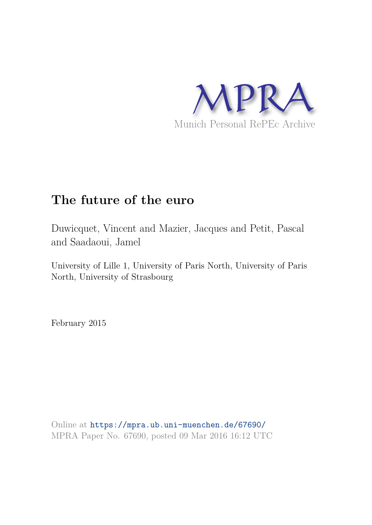

# **The future of the euro**

Duwicquet, Vincent and Mazier, Jacques and Petit, Pascal and Saadaoui, Jamel

University of Lille 1, University of Paris North, University of Paris North, University of Strasbourg

February 2015

Online at https://mpra.ub.uni-muenchen.de/67690/ MPRA Paper No. 67690, posted 09 Mar 2016 16:12 UTC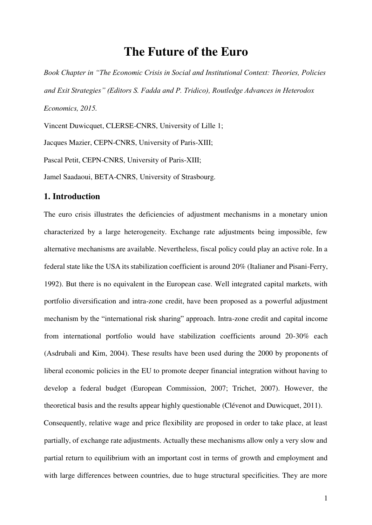## **The Future of the Euro**

*Book Chapter in "The Economic Crisis in Social and Institutional Context: Theories, Policies and Exit Strategies" (Editors S. Fadda and P. Tridico), Routledge Advances in Heterodox Economics, 2015.* 

Vincent Duwicquet, CLERSE-CNRS, University of Lille 1;

Jacques Mazier, CEPN-CNRS, University of Paris-XIII;

Pascal Petit, CEPN-CNRS, University of Paris-XIII;

Jamel Saadaoui, BETA-CNRS, University of Strasbourg.

## **1. Introduction**

The euro crisis illustrates the deficiencies of adjustment mechanisms in a monetary union characterized by a large heterogeneity. Exchange rate adjustments being impossible, few alternative mechanisms are available. Nevertheless, fiscal policy could play an active role. In a federal state like the USA its stabilization coefficient is around 20% (Italianer and Pisani-Ferry, 1992). But there is no equivalent in the European case. Well integrated capital markets, with portfolio diversification and intra-zone credit, have been proposed as a powerful adjustment mechanism by the "international risk sharing" approach. Intra-zone credit and capital income from international portfolio would have stabilization coefficients around 20-30% each (Asdrubali and Kim, 2004). These results have been used during the 2000 by proponents of liberal economic policies in the EU to promote deeper financial integration without having to develop a federal budget (European Commission, 2007; Trichet, 2007). However, the theoretical basis and the results appear highly questionable (Clévenot and Duwicquet, 2011). Consequently, relative wage and price flexibility are proposed in order to take place, at least partially, of exchange rate adjustments. Actually these mechanisms allow only a very slow and partial return to equilibrium with an important cost in terms of growth and employment and with large differences between countries, due to huge structural specificities. They are more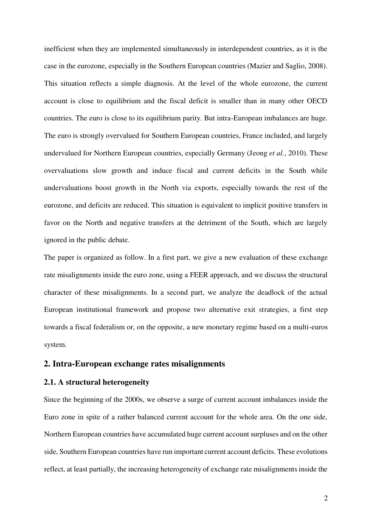inefficient when they are implemented simultaneously in interdependent countries, as it is the case in the eurozone, especially in the Southern European countries (Mazier and Saglio, 2008). This situation reflects a simple diagnosis. At the level of the whole eurozone, the current account is close to equilibrium and the fiscal deficit is smaller than in many other OECD countries. The euro is close to its equilibrium parity. But intra-European imbalances are huge. The euro is strongly overvalued for Southern European countries, France included, and largely undervalued for Northern European countries, especially Germany (Jeong *et al.*, 2010). These overvaluations slow growth and induce fiscal and current deficits in the South while undervaluations boost growth in the North via exports, especially towards the rest of the eurozone, and deficits are reduced. This situation is equivalent to implicit positive transfers in favor on the North and negative transfers at the detriment of the South, which are largely ignored in the public debate.

The paper is organized as follow. In a first part, we give a new evaluation of these exchange rate misalignments inside the euro zone, using a FEER approach, and we discuss the structural character of these misalignments. In a second part, we analyze the deadlock of the actual European institutional framework and propose two alternative exit strategies, a first step towards a fiscal federalism or, on the opposite, a new monetary regime based on a multi-euros system.

## **2. Intra-European exchange rates misalignments**

## **2.1. A structural heterogeneity**

Since the beginning of the 2000s, we observe a surge of current account imbalances inside the Euro zone in spite of a rather balanced current account for the whole area. On the one side, Northern European countries have accumulated huge current account surpluses and on the other side, Southern European countries have run important current account deficits. These evolutions reflect, at least partially, the increasing heterogeneity of exchange rate misalignments inside the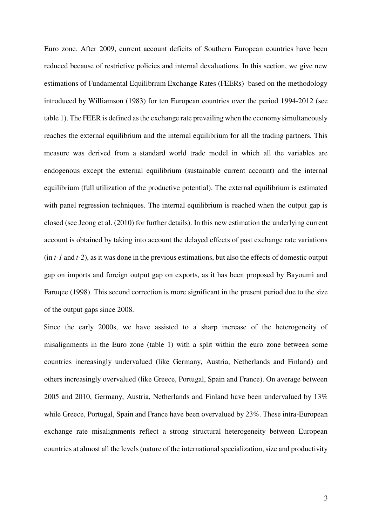Euro zone. After 2009, current account deficits of Southern European countries have been reduced because of restrictive policies and internal devaluations. In this section, we give new estimations of Fundamental Equilibrium Exchange Rates (FEERs) based on the methodology introduced by Williamson (1983) for ten European countries over the period 1994-2012 (see table 1). The FEER is defined as the exchange rate prevailing when the economy simultaneously reaches the external equilibrium and the internal equilibrium for all the trading partners. This measure was derived from a standard world trade model in which all the variables are endogenous except the external equilibrium (sustainable current account) and the internal equilibrium (full utilization of the productive potential). The external equilibrium is estimated with panel regression techniques. The internal equilibrium is reached when the output gap is closed (see Jeong et al. (2010) for further details). In this new estimation the underlying current account is obtained by taking into account the delayed effects of past exchange rate variations (in *t-1* and *t-2*), as it was done in the previous estimations, but also the effects of domestic output gap on imports and foreign output gap on exports, as it has been proposed by Bayoumi and Faruqee (1998). This second correction is more significant in the present period due to the size of the output gaps since 2008.

Since the early 2000s, we have assisted to a sharp increase of the heterogeneity of misalignments in the Euro zone (table 1) with a split within the euro zone between some countries increasingly undervalued (like Germany, Austria, Netherlands and Finland) and others increasingly overvalued (like Greece, Portugal, Spain and France). On average between 2005 and 2010, Germany, Austria, Netherlands and Finland have been undervalued by 13% while Greece, Portugal, Spain and France have been overvalued by 23%. These intra-European exchange rate misalignments reflect a strong structural heterogeneity between European countries at almost all the levels (nature of the international specialization, size and productivity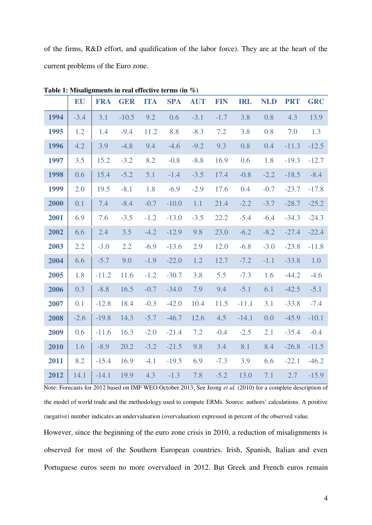of the firms, R&D effort, and qualification of the labor force). They are at the heart of the current problems of the Euro zone.

|      | EU     | <b>FRA</b> | <b>GER</b> | <b>ITA</b> | <b>SPA</b> | <b>AUT</b> | <b>FIN</b> | <b>IRL</b> | <b>NLD</b> | <b>PRT</b> | <b>GRC</b> |
|------|--------|------------|------------|------------|------------|------------|------------|------------|------------|------------|------------|
| 1994 | $-3.4$ | 3.1        | $-10.5$    | 9.2        | 0.6        | $-3.1$     | $-1.7$     | 3.8        | 0.8        | 4.3        | 13.9       |
| 1995 | 1.2    | 1.4        | $-9.4$     | 11.2       | 8.8        | $-8.3$     | 7.2        | 3.8        | 0.8        | 7.0        | 1.3        |
| 1996 | 4.2    | 3.9        | $-4.8$     | 9.4        | $-4.6$     | $-9.2$     | 9.3        | 0.8        | 0.4        | $-11.3$    | $-12.5$    |
| 1997 | 3.5    | 15.2       | $-3.2$     | 8.2        | $-0.8$     | $-8.8$     | 16.9       | 0.6        | 1.8        | $-19.3$    | $-12.7$    |
| 1998 | 0.6    | 15.4       | $-5.2$     | 5.1        | $-1.4$     | $-3.5$     | 17.4       | $-0.8$     | $-2.2$     | $-18.5$    | $-8.4$     |
| 1999 | 2.0    | 19.5       | $-8.1$     | 1.8        | $-6.9$     | $-2.9$     | 17.6       | 0.4        | $-0.7$     | $-23.7$    | $-17.8$    |
| 2000 | 0.1    | 7.4        | $-8.4$     | $-0.7$     | $-10.0$    | 1.1        | 21.4       | $-2.2$     | $-3.7$     | $-28.7$    | $-25.2$    |
| 2001 | 6.9    | 7.6        | $-3.5$     | $-1.2$     | $-13.0$    | $-3.5$     | 22.2       | $-5.4$     | $-6.4$     | $-34.3$    | $-24.3$    |
| 2002 | 6.6    | 2.4        | 3.5        | $-4.2$     | $-12.9$    | 9.8        | 23.0       | $-6.2$     | $-8.2$     | $-27.4$    | $-22.4$    |
| 2003 | 2.2    | $-3.0$     | 2.2        | $-6.9$     | $-13.6$    | 2.9        | 12.0       | $-6.8$     | $-3.0$     | $-23.8$    | $-11.8$    |
| 2004 | 6.6    | $-5.7$     | 9.0        | $-1.9$     | $-22.0$    | 1.2        | 12.7       | $-7.2$     | $-1.1$     | $-33.8$    | 1.0        |
| 2005 | 1.8    | $-11.2$    | 11.6       | $-1.2$     | $-30.7$    | 3.8        | 5.5        | $-7.3$     | 1.6        | $-44.2$    | $-4.6$     |
| 2006 | 0.3    | $-8.8$     | 16.5       | $-0.7$     | $-34.0$    | 7.9        | 9.4        | $-5.1$     | 6.1        | $-42.5$    | $-5.1$     |
| 2007 | 0.1    | $-12.8$    | 18.4       | $-0.3$     | $-42.0$    | 10.4       | 11.5       | $-11.1$    | 3.1        | $-33.8$    | $-7.4$     |
| 2008 | $-2.6$ | $-19.8$    | 14.3       | $-5.7$     | $-46.7$    | 12.6       | 4.5        | $-14.1$    | 0.0        | $-45.9$    | $-10.1$    |
| 2009 | 0.6    | $-11.6$    | 16.3       | $-2.0$     | $-21.4$    | 7.2        | $-0.4$     | $-2.5$     | 2.1        | $-35.4$    | $-0.4$     |
| 2010 | 1.6    | $-8.9$     | 20.2       | $-3.2$     | $-21.5$    | 9.8        | 3.4        | 8.1        | 8.4        | $-26.8$    | $-11.5$    |
| 2011 | 8.2    | $-15.4$    | 16.9       | $-4.1$     | $-19.5$    | 6.9        | $-7.3$     | 3.9        | 6.6        | $-22.1$    | $-46.2$    |
| 2012 | 14.1   | $-14.1$    | 19.9       | 4.3        | $-1.3$     | 7.8        | $-5.2$     | 13.0       | 7.1        | 2.7        | $-15.9$    |

**Table 1: Misalignments in real effective terms (in %)** 

Note: Forecasts for 2012 based on IMF WEO October 2013; See Jeong *et al.* (2010) for a complete description of the model of world trade and the methodology used to compute ERMs. Source: authors' calculations. A positive (negative) number indicates an undervaluation (overvaluation) expressed in percent of the observed value.

However, since the beginning of the euro zone crisis in 2010, a reduction of misalignments is observed for most of the Southern European countries. Irish, Spanish, Italian and even Portuguese euros seem no more overvalued in 2012. But Greek and French euros remain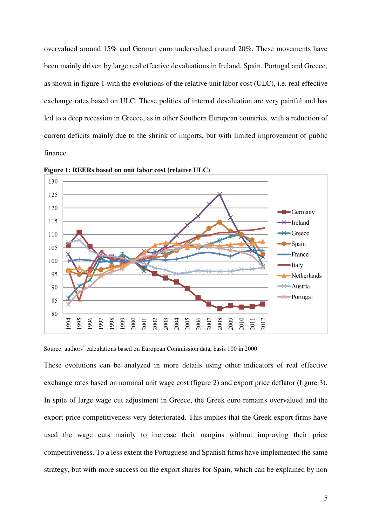overvalued around 15% and German euro undervalued around 20%. These movements have been mainly driven by large real effective devaluations in Ireland, Spain, Portugal and Greece, as shown in figure 1 with the evolutions of the relative unit labor cost (ULC), i.e. real effective exchange rates based on ULC. These politics of internal devaluation are very painful and has led to a deep recession in Greece, as in other Southern European countries, with a reduction of current deficits mainly due to the shrink of imports, but with limited improvement of public finance.



**Figure 1: REERs based on unit labor cost (relative ULC)** 

Source: authors' calculations based on European Commission data, basis 100 in 2000.

These evolutions can be analyzed in more details using other indicators of real effective exchange rates based on nominal unit wage cost (figure 2) and export price deflator (figure 3). In spite of large wage cut adjustment in Greece, the Greek euro remains overvalued and the export price competitiveness very deteriorated. This implies that the Greek export firms have used the wage cuts mainly to increase their margins without improving their price competitiveness. To a less extent the Portuguese and Spanish firms have implemented the same strategy, but with more success on the export shares for Spain, which can be explained by non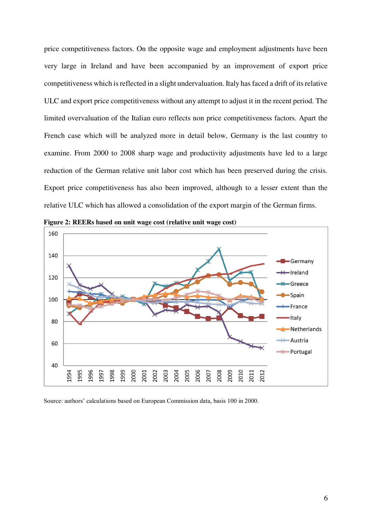price competitiveness factors. On the opposite wage and employment adjustments have been very large in Ireland and have been accompanied by an improvement of export price competitiveness which is reflected in a slight undervaluation. Italy has faced a drift of its relative ULC and export price competitiveness without any attempt to adjust it in the recent period. The limited overvaluation of the Italian euro reflects non price competitiveness factors. Apart the French case which will be analyzed more in detail below, Germany is the last country to examine. From 2000 to 2008 sharp wage and productivity adjustments have led to a large reduction of the German relative unit labor cost which has been preserved during the crisis. Export price competitiveness has also been improved, although to a lesser extent than the relative ULC which has allowed a consolidation of the export margin of the German firms.



**Figure 2: REERs based on unit wage cost (relative unit wage cost)** 

Source: authors' calculations based on European Commission data, basis 100 in 2000.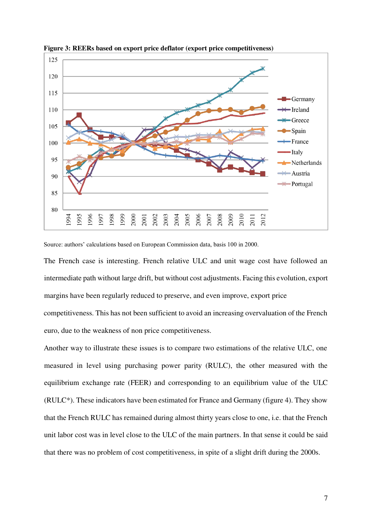

**Figure 3: REERs based on export price deflator (export price competitiveness)** 

Source: authors' calculations based on European Commission data, basis 100 in 2000.

The French case is interesting. French relative ULC and unit wage cost have followed an intermediate path without large drift, but without cost adjustments. Facing this evolution, export margins have been regularly reduced to preserve, and even improve, export price competitiveness. This has not been sufficient to avoid an increasing overvaluation of the French euro, due to the weakness of non price competitiveness.

Another way to illustrate these issues is to compare two estimations of the relative ULC, one measured in level using purchasing power parity (RULC), the other measured with the equilibrium exchange rate (FEER) and corresponding to an equilibrium value of the ULC (RULC\*). These indicators have been estimated for France and Germany (figure 4). They show that the French RULC has remained during almost thirty years close to one, i.e. that the French unit labor cost was in level close to the ULC of the main partners. In that sense it could be said that there was no problem of cost competitiveness, in spite of a slight drift during the 2000s.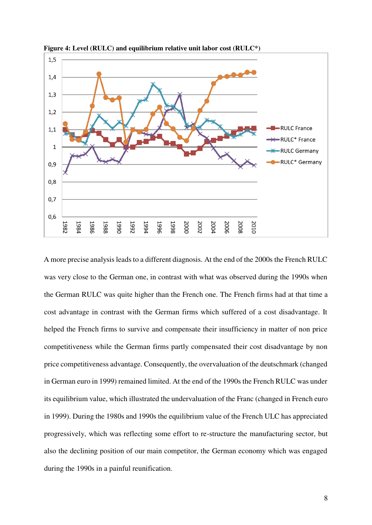

**Figure 4: Level (RULC) and equilibrium relative unit labor cost (RULC\*)** 

A more precise analysis leads to a different diagnosis. At the end of the 2000s the French RULC was very close to the German one, in contrast with what was observed during the 1990s when the German RULC was quite higher than the French one. The French firms had at that time a cost advantage in contrast with the German firms which suffered of a cost disadvantage. It helped the French firms to survive and compensate their insufficiency in matter of non price competitiveness while the German firms partly compensated their cost disadvantage by non price competitiveness advantage. Consequently, the overvaluation of the deutschmark (changed in German euro in 1999) remained limited. At the end of the 1990s the French RULC was under its equilibrium value, which illustrated the undervaluation of the Franc (changed in French euro in 1999). During the 1980s and 1990s the equilibrium value of the French ULC has appreciated progressively, which was reflecting some effort to re-structure the manufacturing sector, but also the declining position of our main competitor, the German economy which was engaged during the 1990s in a painful reunification.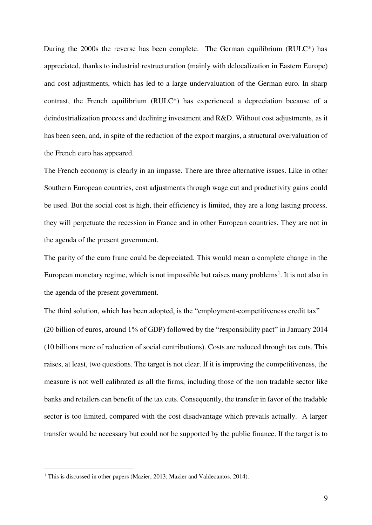During the 2000s the reverse has been complete. The German equilibrium (RULC\*) has appreciated, thanks to industrial restructuration (mainly with delocalization in Eastern Europe) and cost adjustments, which has led to a large undervaluation of the German euro. In sharp contrast, the French equilibrium (RULC\*) has experienced a depreciation because of a deindustrialization process and declining investment and R&D. Without cost adjustments, as it has been seen, and, in spite of the reduction of the export margins, a structural overvaluation of the French euro has appeared.

The French economy is clearly in an impasse. There are three alternative issues. Like in other Southern European countries, cost adjustments through wage cut and productivity gains could be used. But the social cost is high, their efficiency is limited, they are a long lasting process, they will perpetuate the recession in France and in other European countries. They are not in the agenda of the present government.

The parity of the euro franc could be depreciated. This would mean a complete change in the European monetary regime, which is not impossible but raises many problems<sup>1</sup>. It is not also in the agenda of the present government.

The third solution, which has been adopted, is the "employment-competitiveness credit tax" (20 billion of euros, around 1% of GDP) followed by the "responsibility pact" in January 2014 (10 billions more of reduction of social contributions). Costs are reduced through tax cuts. This raises, at least, two questions. The target is not clear. If it is improving the competitiveness, the measure is not well calibrated as all the firms, including those of the non tradable sector like banks and retailers can benefit of the tax cuts. Consequently, the transfer in favor of the tradable sector is too limited, compared with the cost disadvantage which prevails actually. A larger transfer would be necessary but could not be supported by the public finance. If the target is to

 $\overline{a}$ 

<sup>&</sup>lt;sup>1</sup> This is discussed in other papers (Mazier, 2013; Mazier and Valdecantos, 2014).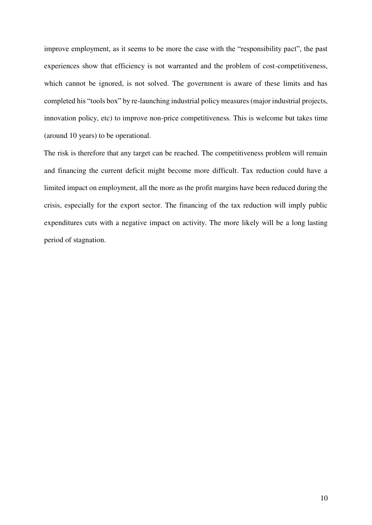improve employment, as it seems to be more the case with the "responsibility pact", the past experiences show that efficiency is not warranted and the problem of cost-competitiveness, which cannot be ignored, is not solved. The government is aware of these limits and has completed his "tools box" by re-launching industrial policy measures (major industrial projects, innovation policy, etc) to improve non-price competitiveness. This is welcome but takes time (around 10 years) to be operational.

The risk is therefore that any target can be reached. The competitiveness problem will remain and financing the current deficit might become more difficult. Tax reduction could have a limited impact on employment, all the more as the profit margins have been reduced during the crisis, especially for the export sector. The financing of the tax reduction will imply public expenditures cuts with a negative impact on activity. The more likely will be a long lasting period of stagnation.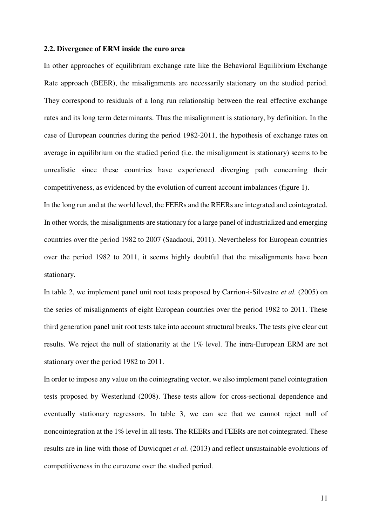#### **2.2. Divergence of ERM inside the euro area**

In other approaches of equilibrium exchange rate like the Behavioral Equilibrium Exchange Rate approach (BEER), the misalignments are necessarily stationary on the studied period. They correspond to residuals of a long run relationship between the real effective exchange rates and its long term determinants. Thus the misalignment is stationary, by definition. In the case of European countries during the period 1982-2011, the hypothesis of exchange rates on average in equilibrium on the studied period (i.e. the misalignment is stationary) seems to be unrealistic since these countries have experienced diverging path concerning their competitiveness, as evidenced by the evolution of current account imbalances (figure 1).

In the long run and at the world level, the FEERs and the REERs are integrated and cointegrated. In other words, the misalignments are stationary for a large panel of industrialized and emerging countries over the period 1982 to 2007 (Saadaoui, 2011). Nevertheless for European countries over the period 1982 to 2011, it seems highly doubtful that the misalignments have been stationary.

In table 2, we implement panel unit root tests proposed by Carrion-i-Silvestre *et al.* (2005) on the series of misalignments of eight European countries over the period 1982 to 2011. These third generation panel unit root tests take into account structural breaks. The tests give clear cut results. We reject the null of stationarity at the 1% level. The intra-European ERM are not stationary over the period 1982 to 2011.

In order to impose any value on the cointegrating vector, we also implement panel cointegration tests proposed by Westerlund (2008). These tests allow for cross-sectional dependence and eventually stationary regressors. In table 3, we can see that we cannot reject null of noncointegration at the 1% level in all tests. The REERs and FEERs are not cointegrated. These results are in line with those of Duwicquet *et al.* (2013) and reflect unsustainable evolutions of competitiveness in the eurozone over the studied period.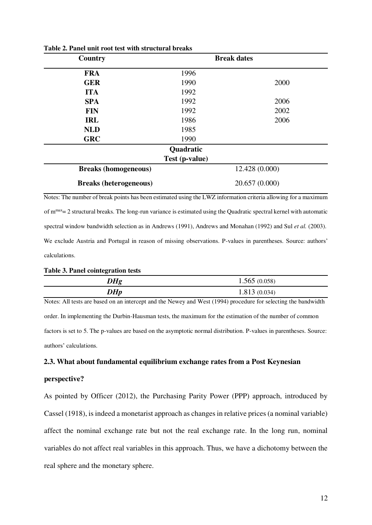| Country                       | <b>Break dates</b> |      |  |  |  |
|-------------------------------|--------------------|------|--|--|--|
| <b>FRA</b>                    | 1996               |      |  |  |  |
| <b>GER</b>                    | 1990               | 2000 |  |  |  |
| <b>ITA</b>                    | 1992               |      |  |  |  |
| <b>SPA</b>                    | 1992               | 2006 |  |  |  |
| <b>FIN</b>                    | 1992               | 2002 |  |  |  |
| <b>IRL</b>                    | 1986               | 2006 |  |  |  |
| <b>NLD</b>                    | 1985               |      |  |  |  |
| <b>GRC</b>                    | 1990               |      |  |  |  |
|                               | Quadratic          |      |  |  |  |
|                               | Test (p-value)     |      |  |  |  |
| <b>Breaks (homogeneous)</b>   | 12.428 (0.000)     |      |  |  |  |
| <b>Breaks (heterogeneous)</b> | 20.657 (0.000)     |      |  |  |  |

**Table 2. Panel unit root test with structural breaks** 

Notes: The number of break points has been estimated using the LWZ information criteria allowing for a maximum of  $m<sub>max</sub> = 2$  structural breaks. The long-run variance is estimated using the Quadratic spectral kernel with automatic spectral window bandwidth selection as in Andrews (1991), Andrews and Monahan (1992) and Sul *et al.* (2003). We exclude Austria and Portugal in reason of missing observations. P-values in parentheses. Source: authors' calculations.

#### **Table 3. Panel cointegration tests**

| $D$ <i>Hg</i> | 1.565(0.058) |
|---------------|--------------|
| $D$ <i>Hp</i> | 1.813(0.034) |

Notes: All tests are based on an intercept and the Newey and West (1994) procedure for selecting the bandwidth order. In implementing the Durbin-Hausman tests, the maximum for the estimation of the number of common factors is set to 5. The p-values are based on the asymptotic normal distribution. P-values in parentheses. Source: authors' calculations.

#### **2.3. What about fundamental equilibrium exchange rates from a Post Keynesian**

#### **perspective?**

As pointed by Officer (2012), the Purchasing Parity Power (PPP) approach, introduced by Cassel (1918), is indeed a monetarist approach as changes in relative prices (a nominal variable) affect the nominal exchange rate but not the real exchange rate. In the long run, nominal variables do not affect real variables in this approach. Thus, we have a dichotomy between the real sphere and the monetary sphere.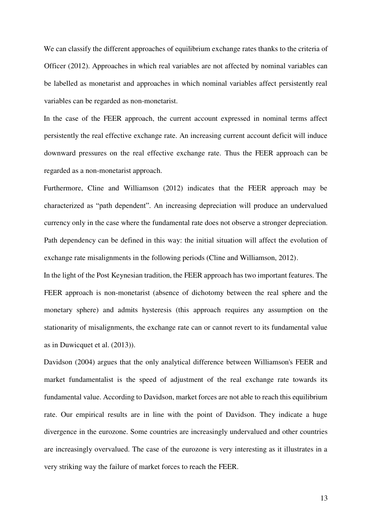We can classify the different approaches of equilibrium exchange rates thanks to the criteria of Officer (2012). Approaches in which real variables are not affected by nominal variables can be labelled as monetarist and approaches in which nominal variables affect persistently real variables can be regarded as non-monetarist.

In the case of the FEER approach, the current account expressed in nominal terms affect persistently the real effective exchange rate. An increasing current account deficit will induce downward pressures on the real effective exchange rate. Thus the FEER approach can be regarded as a non-monetarist approach.

Furthermore, Cline and Williamson (2012) indicates that the FEER approach may be characterized as "path dependent". An increasing depreciation will produce an undervalued currency only in the case where the fundamental rate does not observe a stronger depreciation. Path dependency can be defined in this way: the initial situation will affect the evolution of exchange rate misalignments in the following periods (Cline and Williamson, 2012).

In the light of the Post Keynesian tradition, the FEER approach has two important features. The FEER approach is non-monetarist (absence of dichotomy between the real sphere and the monetary sphere) and admits hysteresis (this approach requires any assumption on the stationarity of misalignments, the exchange rate can or cannot revert to its fundamental value as in Duwicquet et al. (2013)).

Davidson (2004) argues that the only analytical difference between Williamson's FEER and market fundamentalist is the speed of adjustment of the real exchange rate towards its fundamental value. According to Davidson, market forces are not able to reach this equilibrium rate. Our empirical results are in line with the point of Davidson. They indicate a huge divergence in the eurozone. Some countries are increasingly undervalued and other countries are increasingly overvalued. The case of the eurozone is very interesting as it illustrates in a very striking way the failure of market forces to reach the FEER.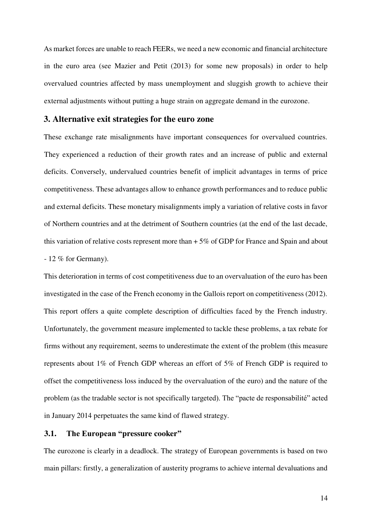As market forces are unable to reach FEERs, we need a new economic and financial architecture in the euro area (see Mazier and Petit (2013) for some new proposals) in order to help overvalued countries affected by mass unemployment and sluggish growth to achieve their external adjustments without putting a huge strain on aggregate demand in the eurozone.

## **3. Alternative exit strategies for the euro zone**

These exchange rate misalignments have important consequences for overvalued countries. They experienced a reduction of their growth rates and an increase of public and external deficits. Conversely, undervalued countries benefit of implicit advantages in terms of price competitiveness. These advantages allow to enhance growth performances and to reduce public and external deficits. These monetary misalignments imply a variation of relative costs in favor of Northern countries and at the detriment of Southern countries (at the end of the last decade, this variation of relative costs represent more than  $+5\%$  of GDP for France and Spain and about  $-12\%$  for Germany).

This deterioration in terms of cost competitiveness due to an overvaluation of the euro has been investigated in the case of the French economy in the Gallois report on competitiveness (2012). This report offers a quite complete description of difficulties faced by the French industry. Unfortunately, the government measure implemented to tackle these problems, a tax rebate for firms without any requirement, seems to underestimate the extent of the problem (this measure represents about 1% of French GDP whereas an effort of 5% of French GDP is required to offset the competitiveness loss induced by the overvaluation of the euro) and the nature of the problem (as the tradable sector is not specifically targeted). The "pacte de responsabilité" acted in January 2014 perpetuates the same kind of flawed strategy.

## **3.1. The European "pressure cooker"**

The eurozone is clearly in a deadlock. The strategy of European governments is based on two main pillars: firstly, a generalization of austerity programs to achieve internal devaluations and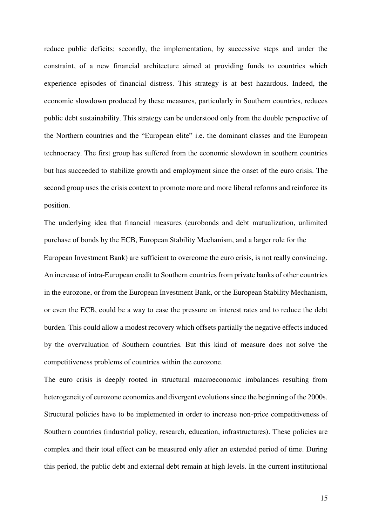reduce public deficits; secondly, the implementation, by successive steps and under the constraint, of a new financial architecture aimed at providing funds to countries which experience episodes of financial distress. This strategy is at best hazardous. Indeed, the economic slowdown produced by these measures, particularly in Southern countries, reduces public debt sustainability. This strategy can be understood only from the double perspective of the Northern countries and the "European elite" i.e. the dominant classes and the European technocracy. The first group has suffered from the economic slowdown in southern countries but has succeeded to stabilize growth and employment since the onset of the euro crisis. The second group uses the crisis context to promote more and more liberal reforms and reinforce its position.

The underlying idea that financial measures (eurobonds and debt mutualization, unlimited purchase of bonds by the ECB, European Stability Mechanism, and a larger role for the European Investment Bank) are sufficient to overcome the euro crisis, is not really convincing. An increase of intra-European credit to Southern countries from private banks of other countries in the eurozone, or from the European Investment Bank, or the European Stability Mechanism, or even the ECB, could be a way to ease the pressure on interest rates and to reduce the debt burden. This could allow a modest recovery which offsets partially the negative effects induced by the overvaluation of Southern countries. But this kind of measure does not solve the competitiveness problems of countries within the eurozone.

The euro crisis is deeply rooted in structural macroeconomic imbalances resulting from heterogeneity of eurozone economies and divergent evolutions since the beginning of the 2000s. Structural policies have to be implemented in order to increase non-price competitiveness of Southern countries (industrial policy, research, education, infrastructures). These policies are complex and their total effect can be measured only after an extended period of time. During this period, the public debt and external debt remain at high levels. In the current institutional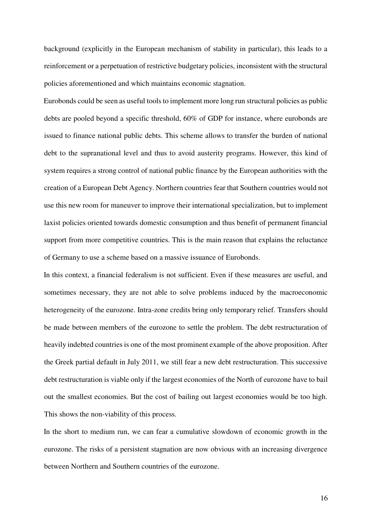background (explicitly in the European mechanism of stability in particular), this leads to a reinforcement or a perpetuation of restrictive budgetary policies, inconsistent with the structural policies aforementioned and which maintains economic stagnation.

Eurobonds could be seen as useful tools to implement more long run structural policies as public debts are pooled beyond a specific threshold, 60% of GDP for instance, where eurobonds are issued to finance national public debts. This scheme allows to transfer the burden of national debt to the supranational level and thus to avoid austerity programs. However, this kind of system requires a strong control of national public finance by the European authorities with the creation of a European Debt Agency. Northern countries fear that Southern countries would not use this new room for maneuver to improve their international specialization, but to implement laxist policies oriented towards domestic consumption and thus benefit of permanent financial support from more competitive countries. This is the main reason that explains the reluctance of Germany to use a scheme based on a massive issuance of Eurobonds.

In this context, a financial federalism is not sufficient. Even if these measures are useful, and sometimes necessary, they are not able to solve problems induced by the macroeconomic heterogeneity of the eurozone. Intra-zone credits bring only temporary relief. Transfers should be made between members of the eurozone to settle the problem. The debt restructuration of heavily indebted countries is one of the most prominent example of the above proposition. After the Greek partial default in July 2011, we still fear a new debt restructuration. This successive debt restructuration is viable only if the largest economies of the North of eurozone have to bail out the smallest economies. But the cost of bailing out largest economies would be too high. This shows the non-viability of this process.

In the short to medium run, we can fear a cumulative slowdown of economic growth in the eurozone. The risks of a persistent stagnation are now obvious with an increasing divergence between Northern and Southern countries of the eurozone.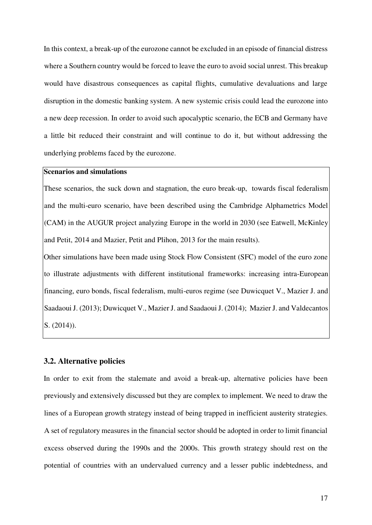In this context, a break-up of the eurozone cannot be excluded in an episode of financial distress where a Southern country would be forced to leave the euro to avoid social unrest. This breakup would have disastrous consequences as capital flights, cumulative devaluations and large disruption in the domestic banking system. A new systemic crisis could lead the eurozone into a new deep recession. In order to avoid such apocalyptic scenario, the ECB and Germany have a little bit reduced their constraint and will continue to do it, but without addressing the underlying problems faced by the eurozone.

## **Scenarios and simulations**

These scenarios, the suck down and stagnation, the euro break-up, towards fiscal federalism and the multi-euro scenario, have been described using the Cambridge Alphametrics Model (CAM) in the AUGUR project analyzing Europe in the world in 2030 (see Eatwell, McKinley and Petit, 2014 and Mazier, Petit and Plihon, 2013 for the main results).

Other simulations have been made using Stock Flow Consistent (SFC) model of the euro zone to illustrate adjustments with different institutional frameworks: increasing intra-European financing, euro bonds, fiscal federalism, multi-euros regime (see Duwicquet V., Mazier J. and Saadaoui J. (2013); Duwicquet V., Mazier J. and Saadaoui J. (2014); Mazier J. and Valdecantos S. (2014)).

## **3.2. Alternative policies**

In order to exit from the stalemate and avoid a break-up, alternative policies have been previously and extensively discussed but they are complex to implement. We need to draw the lines of a European growth strategy instead of being trapped in inefficient austerity strategies. A set of regulatory measures in the financial sector should be adopted in order to limit financial excess observed during the 1990s and the 2000s. This growth strategy should rest on the potential of countries with an undervalued currency and a lesser public indebtedness, and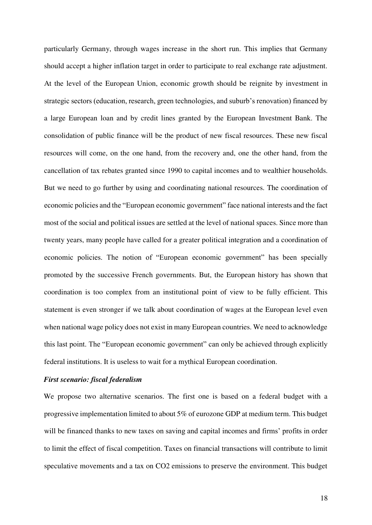particularly Germany, through wages increase in the short run. This implies that Germany should accept a higher inflation target in order to participate to real exchange rate adjustment. At the level of the European Union, economic growth should be reignite by investment in strategic sectors (education, research, green technologies, and suburb's renovation) financed by a large European loan and by credit lines granted by the European Investment Bank. The consolidation of public finance will be the product of new fiscal resources. These new fiscal resources will come, on the one hand, from the recovery and, one the other hand, from the cancellation of tax rebates granted since 1990 to capital incomes and to wealthier households. But we need to go further by using and coordinating national resources. The coordination of economic policies and the "European economic government" face national interests and the fact most of the social and political issues are settled at the level of national spaces. Since more than twenty years, many people have called for a greater political integration and a coordination of economic policies. The notion of "European economic government" has been specially promoted by the successive French governments. But, the European history has shown that coordination is too complex from an institutional point of view to be fully efficient. This statement is even stronger if we talk about coordination of wages at the European level even when national wage policy does not exist in many European countries. We need to acknowledge this last point. The "European economic government" can only be achieved through explicitly federal institutions. It is useless to wait for a mythical European coordination.

## *First scenario: fiscal federalism*

We propose two alternative scenarios. The first one is based on a federal budget with a progressive implementation limited to about 5% of eurozone GDP at medium term. This budget will be financed thanks to new taxes on saving and capital incomes and firms' profits in order to limit the effect of fiscal competition. Taxes on financial transactions will contribute to limit speculative movements and a tax on CO2 emissions to preserve the environment. This budget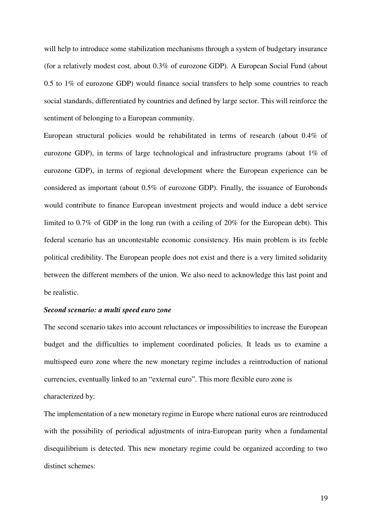will help to introduce some stabilization mechanisms through a system of budgetary insurance (for a relatively modest cost, about 0.3% of eurozone GDP). A European Social Fund (about 0.5 to 1% of eurozone GDP) would finance social transfers to help some countries to reach social standards, differentiated by countries and defined by large sector. This will reinforce the sentiment of belonging to a European community.

European structural policies would be rehabilitated in terms of research (about 0.4% of eurozone GDP), in terms of large technological and infrastructure programs (about 1% of eurozone GDP), in terms of regional development where the European experience can be considered as important (about 0.5% of eurozone GDP). Finally, the issuance of Eurobonds would contribute to finance European investment projects and would induce a debt service limited to 0.7% of GDP in the long run (with a ceiling of 20% for the European debt). This federal scenario has an uncontestable economic consistency. His main problem is its feeble political credibility. The European people does not exist and there is a very limited solidarity between the different members of the union. We also need to acknowledge this last point and be realistic.

#### *Second scenario: a multi speed euro zone*

The second scenario takes into account reluctances or impossibilities to increase the European budget and the difficulties to implement coordinated policies. It leads us to examine a multispeed euro zone where the new monetary regime includes a reintroduction of national currencies, eventually linked to an "external euro". This more flexible euro zone is characterized by:

The implementation of a new monetary regime in Europe where national euros are reintroduced with the possibility of periodical adjustments of intra-European parity when a fundamental disequilibrium is detected. This new monetary regime could be organized according to two distinct schemes: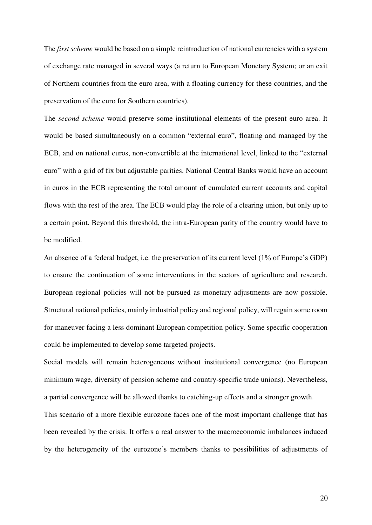The *first scheme* would be based on a simple reintroduction of national currencies with a system of exchange rate managed in several ways (a return to European Monetary System; or an exit of Northern countries from the euro area, with a floating currency for these countries, and the preservation of the euro for Southern countries).

The *second scheme* would preserve some institutional elements of the present euro area. It would be based simultaneously on a common "external euro", floating and managed by the ECB, and on national euros, non-convertible at the international level, linked to the "external euro" with a grid of fix but adjustable parities. National Central Banks would have an account in euros in the ECB representing the total amount of cumulated current accounts and capital flows with the rest of the area. The ECB would play the role of a clearing union, but only up to a certain point. Beyond this threshold, the intra-European parity of the country would have to be modified.

An absence of a federal budget, i.e. the preservation of its current level (1% of Europe's GDP) to ensure the continuation of some interventions in the sectors of agriculture and research. European regional policies will not be pursued as monetary adjustments are now possible. Structural national policies, mainly industrial policy and regional policy, will regain some room for maneuver facing a less dominant European competition policy. Some specific cooperation could be implemented to develop some targeted projects.

Social models will remain heterogeneous without institutional convergence (no European minimum wage, diversity of pension scheme and country-specific trade unions). Nevertheless, a partial convergence will be allowed thanks to catching-up effects and a stronger growth.

This scenario of a more flexible eurozone faces one of the most important challenge that has been revealed by the crisis. It offers a real answer to the macroeconomic imbalances induced by the heterogeneity of the eurozone's members thanks to possibilities of adjustments of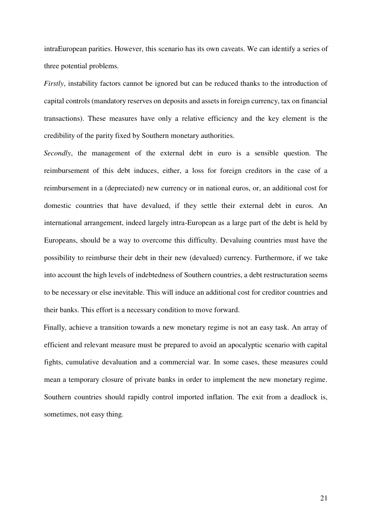intraEuropean parities. However, this scenario has its own caveats. We can identify a series of three potential problems.

*Firstly*, instability factors cannot be ignored but can be reduced thanks to the introduction of capital controls (mandatory reserves on deposits and assets in foreign currency, tax on financial transactions). These measures have only a relative efficiency and the key element is the credibility of the parity fixed by Southern monetary authorities.

*Secondly*, the management of the external debt in euro is a sensible question. The reimbursement of this debt induces, either, a loss for foreign creditors in the case of a reimbursement in a (depreciated) new currency or in national euros, or, an additional cost for domestic countries that have devalued, if they settle their external debt in euros. An international arrangement, indeed largely intra-European as a large part of the debt is held by Europeans, should be a way to overcome this difficulty. Devaluing countries must have the possibility to reimburse their debt in their new (devalued) currency. Furthermore, if we take into account the high levels of indebtedness of Southern countries, a debt restructuration seems to be necessary or else inevitable. This will induce an additional cost for creditor countries and their banks. This effort is a necessary condition to move forward.

Finally, achieve a transition towards a new monetary regime is not an easy task. An array of efficient and relevant measure must be prepared to avoid an apocalyptic scenario with capital fights, cumulative devaluation and a commercial war. In some cases, these measures could mean a temporary closure of private banks in order to implement the new monetary regime. Southern countries should rapidly control imported inflation. The exit from a deadlock is, sometimes, not easy thing.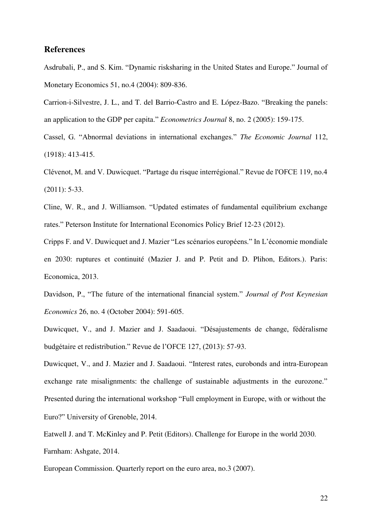## **References**

Asdrubali, P., and S. Kim. "Dynamic risksharing in the United States and Europe." Journal of Monetary Economics 51, no.4 (2004): 809-836.

Carrion-i-Silvestre, J. L., and T. del Barrio-Castro and E. López-Bazo. "Breaking the panels: an application to the GDP per capita." *Econometrics Journal* 8, no. 2 (2005): 159-175.

Cassel, G. "Abnormal deviations in international exchanges." *The Economic Journal* 112, (1918): 413-415.

Clévenot, M. and V. Duwicquet. "Partage du risque interrégional." Revue de l'OFCE 119, no.4 (2011): 5-33.

Cline, W. R., and J. Williamson. "Updated estimates of fundamental equilibrium exchange rates." Peterson Institute for International Economics Policy Brief 12-23 (2012).

Cripps F. and V. Duwicquet and J. Mazier "Les scénarios européens." In L'économie mondiale en 2030: ruptures et continuité (Mazier J. and P. Petit and D. Plihon, Editors.). Paris: Economica, 2013.

Davidson, P., "The future of the international financial system." *Journal of Post Keynesian Economics* 26, no. 4 (October 2004): 591-605.

Duwicquet, V., and J. Mazier and J. Saadaoui. "Désajustements de change, fédéralisme budgétaire et redistribution." Revue de l'OFCE 127, (2013): 57-93.

Duwicquet, V., and J. Mazier and J. Saadaoui. "Interest rates, eurobonds and intra-European exchange rate misalignments: the challenge of sustainable adjustments in the eurozone." Presented during the international workshop "Full employment in Europe, with or without the Euro?" University of Grenoble, 2014.

Eatwell J. and T. McKinley and P. Petit (Editors). Challenge for Europe in the world 2030. Farnham: Ashgate, 2014.

European Commission. Quarterly report on the euro area, no.3 (2007).